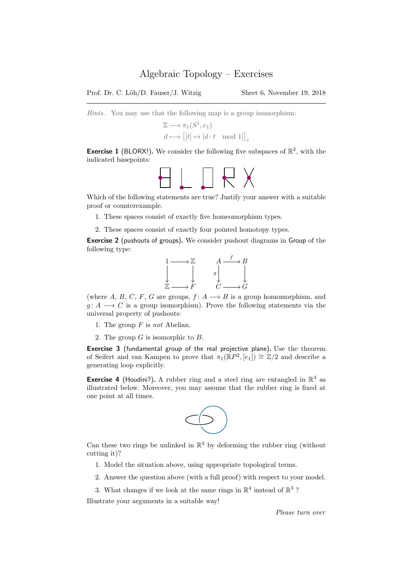Prof. Dr. C. Löh/D. Fauser/J. Witzig Sheet 6, November 19, 2018

Hints. You may use that the following map is a group isomorphism:

$$
\begin{aligned} \mathbb{Z} &\longrightarrow \pi_1(S^1, e_1) \\ d &\longmapsto \big[[t] \mapsto [d\cdot t \mod 1]\big]_* \end{aligned}
$$

**Exercise 1** (BLORX!). We consider the following five subspaces of  $\mathbb{R}^2$ , with the indicated basepoints:



Which of the following statements are true? Justify your answer with a suitable proof or counterexample.

- 1. These spaces consist of exactly five homeomorphism types.
- 2. These spaces consist of exactly four pointed homotopy types.

Exercise 2 (pushouts of groups). We consider pushout diagrams in Group of the following type:



(where A, B, C, F, G are groups,  $f: A \longrightarrow B$  is a group homomorphism, and  $g: A \longrightarrow C$  is a group isomorphism). Prove the following statements via the universal property of pushouts:

- 1. The group  $F$  is not Abelian.
- 2. The group  $G$  is isomorphic to  $B$ .

Exercise 3 (fundamental group of the real projective plane). Use the theorem of Seifert and van Kampen to prove that  $\pi_1(\mathbb{R}P^2,[e_1]) \cong \mathbb{Z}/2$  and describe a generating loop explicitly.

**Exercise 4** (Houdini?). A rubber ring and a steel ring are entangled in  $\mathbb{R}^3$  as illustrated below. Moreover, you may assume that the rubber ring is fixed at one point at all times.



Can these two rings be unlinked in  $\mathbb{R}^3$  by deforming the rubber ring (without cutting it)?

- 1. Model the situation above, using appropriate topological terms.
- 2. Answer the question above (with a full proof) with respect to your model.
- 3. What changes if we look at the same rings in  $\mathbb{R}^4$  instead of  $\mathbb{R}^3$ ?

Illustrate your arguments in a suitable way!

Please turn over